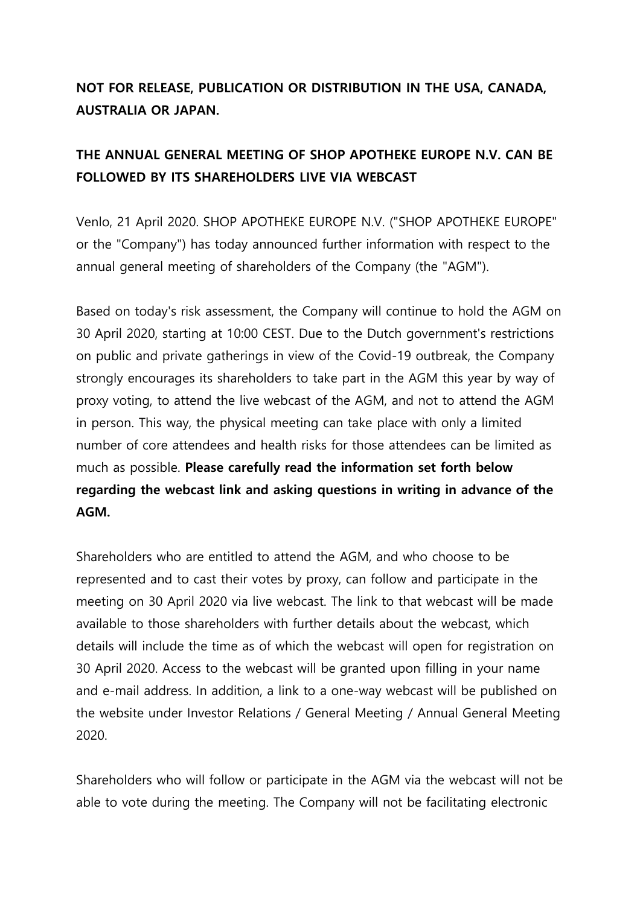## **NOT FOR RELEASE, PUBLICATION OR DISTRIBUTION IN THE USA, CANADA, AUSTRALIA OR JAPAN.**

## **THE ANNUAL GENERAL MEETING OF SHOP APOTHEKE EUROPE N.V. CAN BE FOLLOWED BY ITS SHAREHOLDERS LIVE VIA WEBCAST**

Venlo, 21 April 2020. SHOP APOTHEKE EUROPE N.V. ("SHOP APOTHEKE EUROPE" or the "Company") has today announced further information with respect to the annual general meeting of shareholders of the Company (the "AGM").

Based on today's risk assessment, the Company will continue to hold the AGM on 30 April 2020, starting at 10:00 CEST. Due to the Dutch government's restrictions on public and private gatherings in view of the Covid-19 outbreak, the Company strongly encourages its shareholders to take part in the AGM this year by way of proxy voting, to attend the live webcast of the AGM, and not to attend the AGM in person. This way, the physical meeting can take place with only a limited number of core attendees and health risks for those attendees can be limited as much as possible. **Please carefully read the information set forth below regarding the webcast link and asking questions in writing in advance of the AGM.**

Shareholders who are entitled to attend the AGM, and who choose to be represented and to cast their votes by proxy, can follow and participate in the meeting on 30 April 2020 via live webcast. The link to that webcast will be made available to those shareholders with further details about the webcast, which details will include the time as of which the webcast will open for registration on 30 April 2020. Access to the webcast will be granted upon filling in your name and e-mail address. In addition, a link to a one-way webcast will be published on the website under Investor Relations / General Meeting / Annual General Meeting 2020.

Shareholders who will follow or participate in the AGM via the webcast will not be able to vote during the meeting. The Company will not be facilitating electronic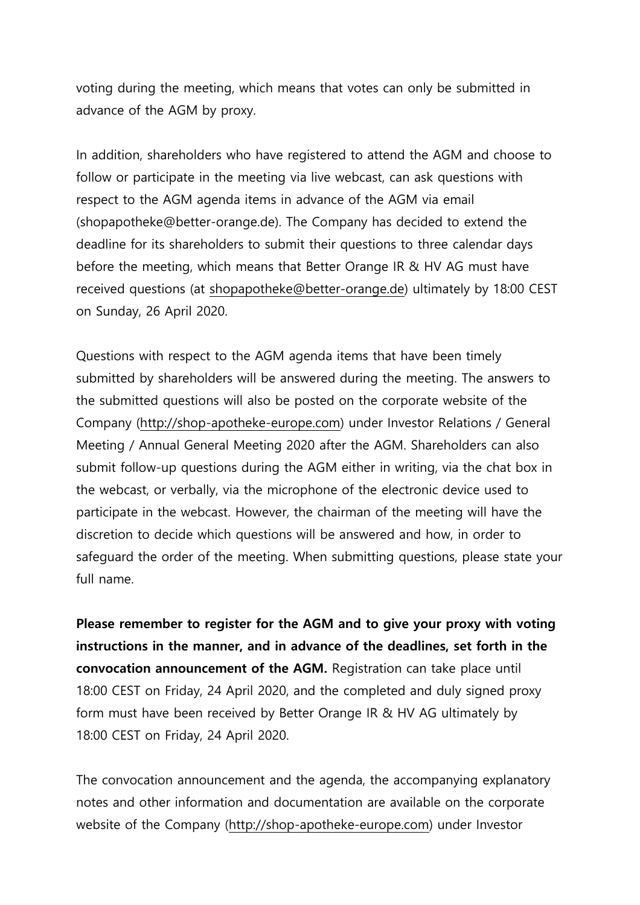voting during the meeting, which means that votes can only be submitted in advance of the AGM by proxy.

In addition, shareholders who have registered to attend the AGM and choose to follow or participate in the meeting via live webcast, can ask questions with respect to the AGM agenda items in advance of the AGM via email (shopapotheke@better-orange.de). The Company has decided to extend the deadline for its shareholders to submit their questions to three calendar days before the meeting, which means that Better Orange IR & HV AG must have received questions (at [shopapotheke@better-orange.de\)](mailto:shopapotheke@better-orange.de) ultimately by 18:00 CEST on Sunday, 26 April 2020.

Questions with respect to the AGM agenda items that have been timely submitted by shareholders will be answered during the meeting. The answers to the submitted questions will also be posted on the corporate website of the Company [\(http://shop-apotheke-europe.com\)](http://shop-apotheke-europe.com/) under Investor Relations / General Meeting / Annual General Meeting 2020 after the AGM. Shareholders can also submit follow-up questions during the AGM either in writing, via the chat box in the webcast, or verbally, via the microphone of the electronic device used to participate in the webcast. However, the chairman of the meeting will have the discretion to decide which questions will be answered and how, in order to safeguard the order of the meeting. When submitting questions, please state your full name.

**Please remember to register for the AGM and to give your proxy with voting instructions in the manner, and in advance of the deadlines, set forth in the convocation announcement of the AGM.** Registration can take place until 18:00 CEST on Friday, 24 April 2020, and the completed and duly signed proxy form must have been received by Better Orange IR & HV AG ultimately by 18:00 CEST on Friday, 24 April 2020.

The convocation announcement and the agenda, the accompanying explanatory notes and other information and documentation are available on the corporate website of the Company [\(http://shop-apotheke-europe.com\)](http://shop-apotheke-europe.com/) under Investor